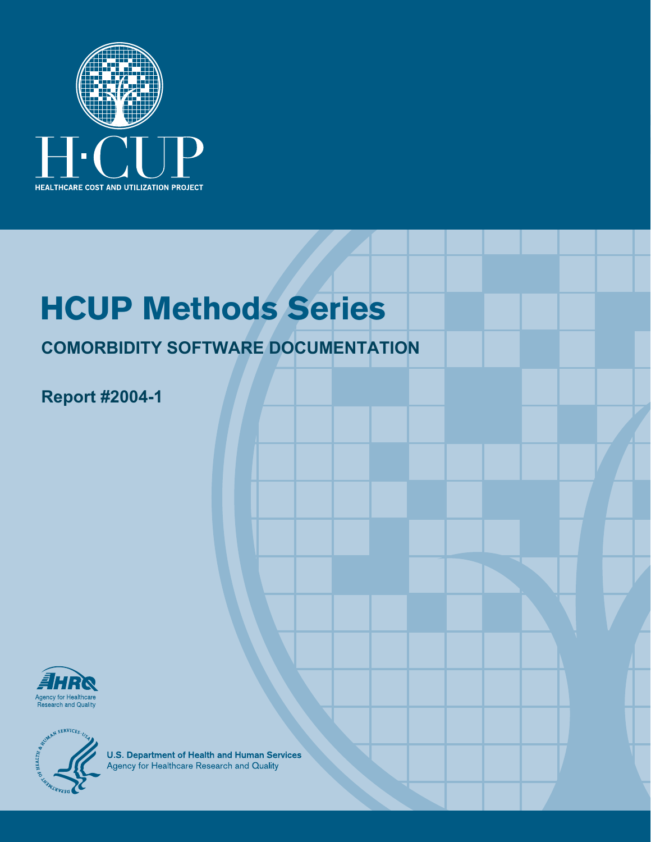

# **HCUP Methods Series**

### **COMORBIDITY SOFTWARE DOCUMENTATION**

### **Report #2004-1**





**U.S. Department of Health and Human Services**<br>Agency for Healthcare Research and Quality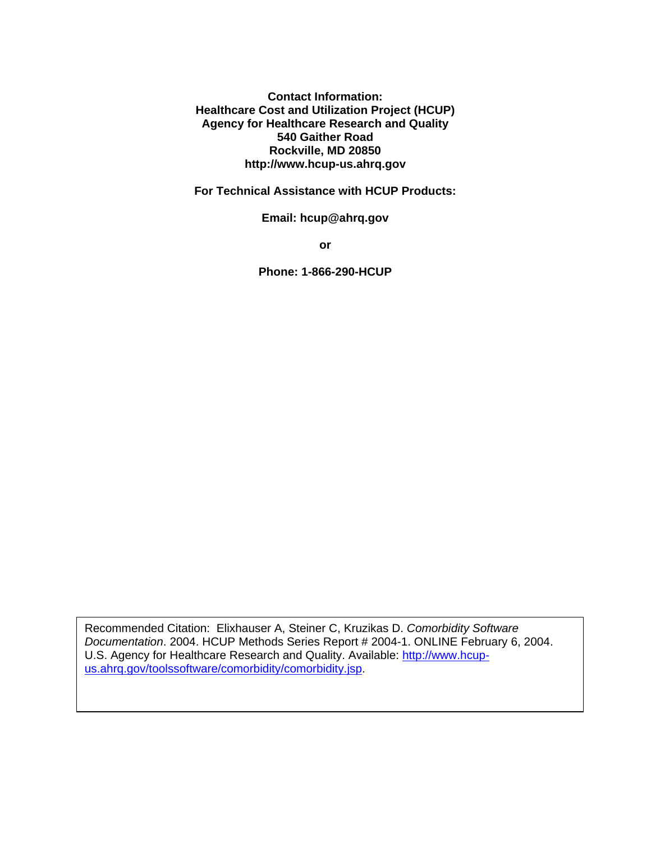**Contact Information: Healthcare Cost and Utilization Project (HCUP) Agency for Healthcare Research and Quality 540 Gaither Road Rockville, MD 20850 http://www.hcup-us.ahrq.gov** 

**For Technical Assistance with HCUP Products:** 

**Email: hcup@ahrq.gov** 

**or** 

**Phone: 1-866-290-HCUP** 

Recommended Citation: Elixhauser A, Steiner C, Kruzikas D. *Comorbidity Software Documentation*. 2004. HCUP Methods Series Report # 2004-1. ONLINE February 6, 2004. U.S. Agency for Healthcare Research and Quality. Available: http://www.hcupus.ahrq.gov/toolssoftware/comorbidity/comorbidity.jsp.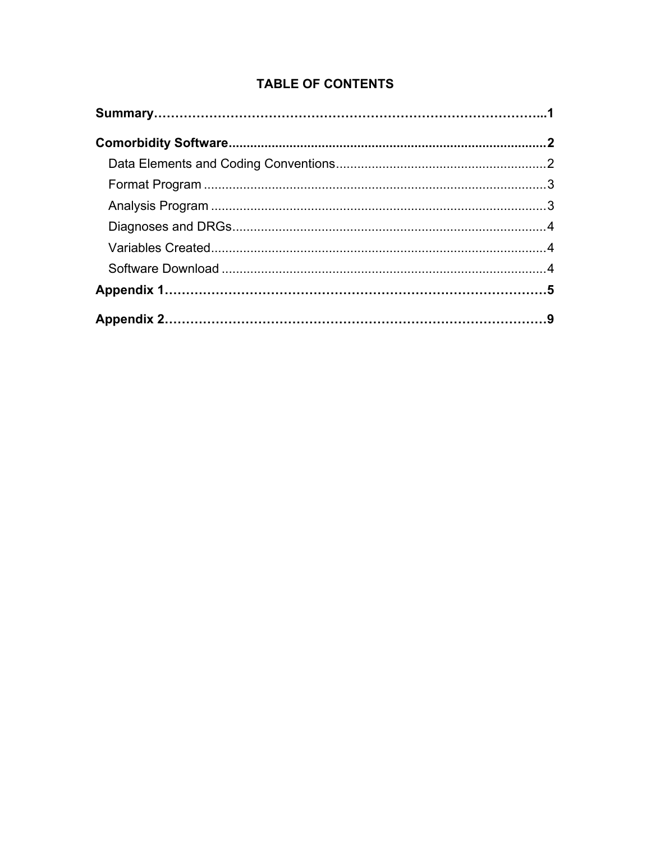### **TABLE OF CONTENTS**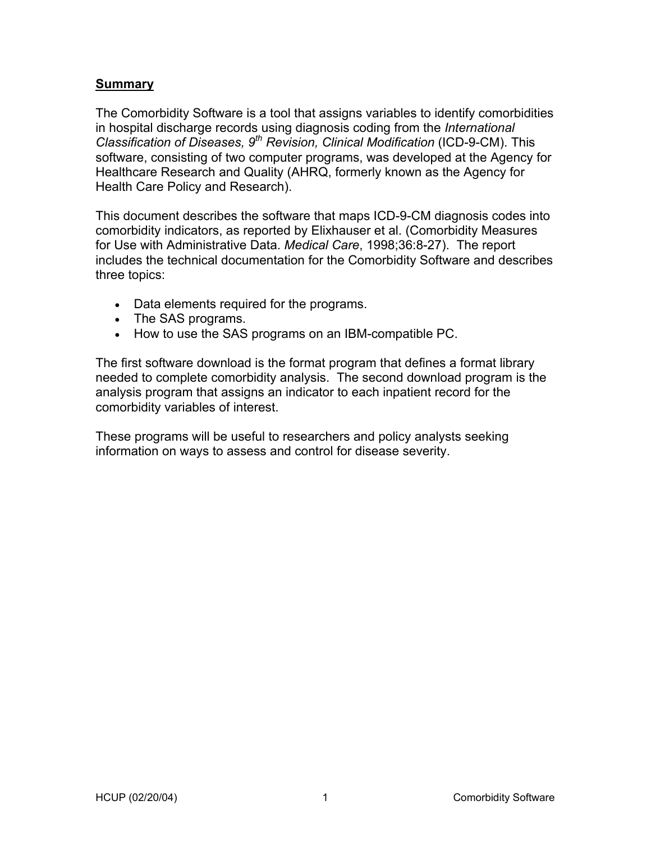### **Summary**

The Comorbidity Software is a tool that assigns variables to identify comorbidities in hospital discharge records using diagnosis coding from the *International Classification of Diseases, 9th Revision, Clinical Modification* (ICD-9-CM). This software, consisting of two computer programs, was developed at the Agency for Healthcare Research and Quality (AHRQ, formerly known as the Agency for Health Care Policy and Research).

This document describes the software that maps ICD-9-CM diagnosis codes into comorbidity indicators, as reported by Elixhauser et al. (Comorbidity Measures for Use with Administrative Data. *Medical Care*, 1998;36:8-27). The report includes the technical documentation for the Comorbidity Software and describes three topics:

- Data elements required for the programs.
- The SAS programs.
- How to use the SAS programs on an IBM-compatible PC.

The first software download is the format program that defines a format library needed to complete comorbidity analysis. The second download program is the analysis program that assigns an indicator to each inpatient record for the comorbidity variables of interest.

These programs will be useful to researchers and policy analysts seeking information on ways to assess and control for disease severity.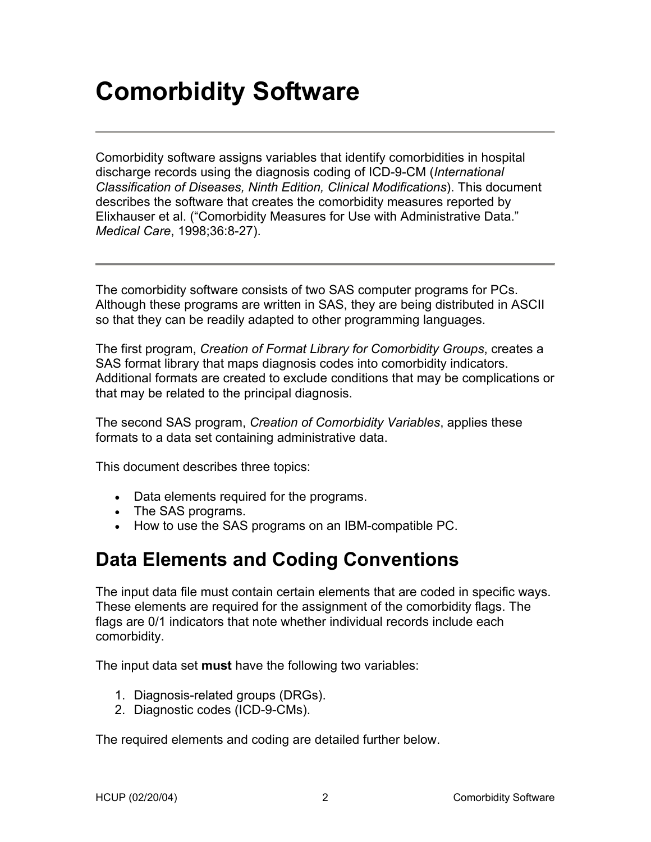## **Comorbidity Software**

Comorbidity software assigns variables that identify comorbidities in hospital discharge records using the diagnosis coding of ICD-9-CM (*International Classification of Diseases, Ninth Edition, Clinical Modifications*). This document describes the software that creates the comorbidity measures reported by Elixhauser et al. ("Comorbidity Measures for Use with Administrative Data." *Medical Care*, 1998;36:8-27).

The comorbidity software consists of two SAS computer programs for PCs. Although these programs are written in SAS, they are being distributed in ASCII so that they can be readily adapted to other programming languages.

The first program, *Creation of Format Library for Comorbidity Groups*, creates a SAS format library that maps diagnosis codes into comorbidity indicators. Additional formats are created to exclude conditions that may be complications or that may be related to the principal diagnosis.

The second SAS program, *Creation of Comorbidity Variables*, applies these formats to a data set containing administrative data.

This document describes three topics:

- Data elements required for the programs.
- The SAS programs.
- How to use the SAS programs on an IBM-compatible PC.

### **Data Elements and Coding Conventions**

The input data file must contain certain elements that are coded in specific ways. These elements are required for the assignment of the comorbidity flags. The flags are 0/1 indicators that note whether individual records include each comorbidity.

The input data set **must** have the following two variables:

- 1. Diagnosis-related groups (DRGs).
- 2. Diagnostic codes (ICD-9-CMs).

The required elements and coding are detailed further below.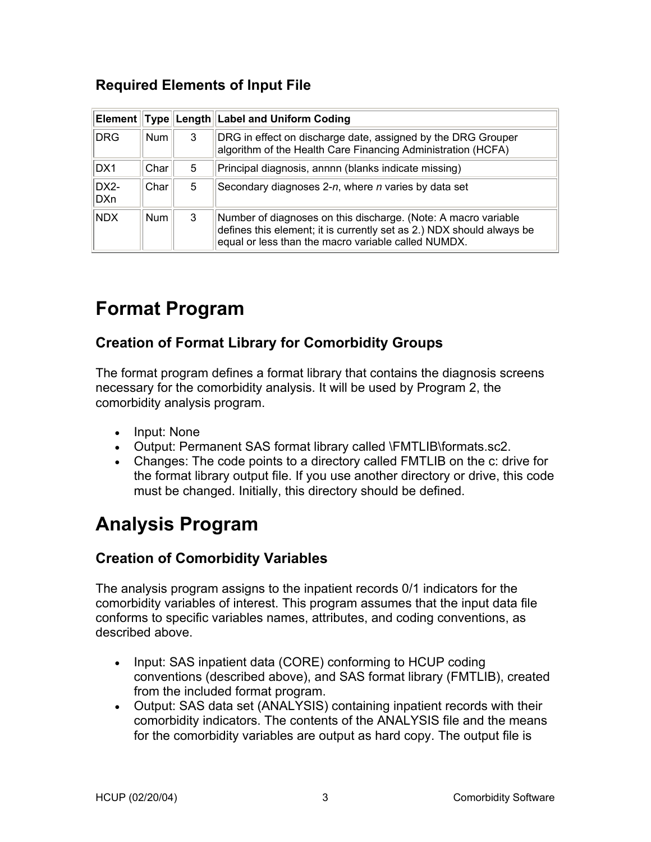### **Required Elements of Input File**

|                          |            |   | Element Type Length Label and Uniform Coding                                                                                                                                                   |
|--------------------------|------------|---|------------------------------------------------------------------------------------------------------------------------------------------------------------------------------------------------|
| DRG                      | <b>Num</b> | 3 | DRG in effect on discharge date, assigned by the DRG Grouper<br>algorithm of the Health Care Financing Administration (HCFA)                                                                   |
| DX1                      | Char       | 5 | Principal diagnosis, annnn (blanks indicate missing)                                                                                                                                           |
| DX <sub>2</sub> -<br>DXn | Char       | 5 | Secondary diagnoses 2-n, where n varies by data set                                                                                                                                            |
| <b>NDX</b>               | <b>Num</b> | 3 | Number of diagnoses on this discharge. (Note: A macro variable<br>defines this element; it is currently set as 2.) NDX should always be<br>equal or less than the macro variable called NUMDX. |

### **Format Program**

### **Creation of Format Library for Comorbidity Groups**

The format program defines a format library that contains the diagnosis screens necessary for the comorbidity analysis. It will be used by Program 2, the comorbidity analysis program.

- Input: None
- Output: Permanent SAS format library called \FMTLIB\formats.sc2.
- Changes: The code points to a directory called FMTLIB on the c: drive for the format library output file. If you use another directory or drive, this code must be changed. Initially, this directory should be defined.

### **Analysis Program**

### **Creation of Comorbidity Variables**

The analysis program assigns to the inpatient records 0/1 indicators for the comorbidity variables of interest. This program assumes that the input data file conforms to specific variables names, attributes, and coding conventions, as described above.

- Input: SAS inpatient data (CORE) conforming to HCUP coding conventions (described above), and SAS format library (FMTLIB), created from the included format program.
- Output: SAS data set (ANALYSIS) containing inpatient records with their comorbidity indicators. The contents of the ANALYSIS file and the means for the comorbidity variables are output as hard copy. The output file is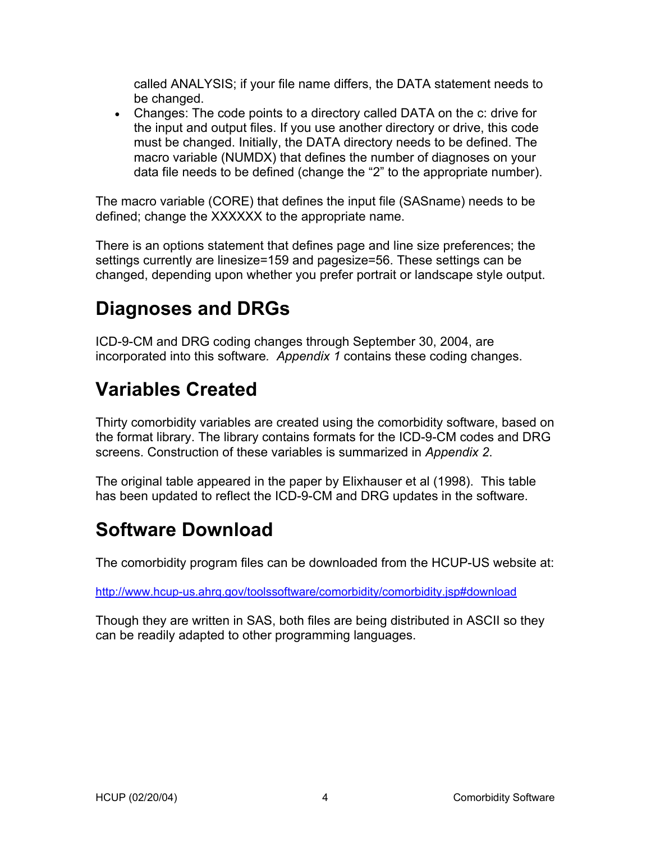called ANALYSIS; if your file name differs, the DATA statement needs to be changed.

• Changes: The code points to a directory called DATA on the c: drive for the input and output files. If you use another directory or drive, this code must be changed. Initially, the DATA directory needs to be defined. The macro variable (NUMDX) that defines the number of diagnoses on your data file needs to be defined (change the "2" to the appropriate number).

The macro variable (CORE) that defines the input file (SASname) needs to be defined; change the XXXXXX to the appropriate name.

There is an options statement that defines page and line size preferences; the settings currently are linesize=159 and pagesize=56. These settings can be changed, depending upon whether you prefer portrait or landscape style output.

### **Diagnoses and DRGs**

ICD-9-CM and DRG coding changes through September 30, 2004, are incorporated into this software*. Appendix 1* contains these coding changes.

### **Variables Created**

Thirty comorbidity variables are created using the comorbidity software, based on the format library. The library contains formats for the ICD-9-CM codes and DRG screens. Construction of these variables is summarized in *Appendix 2*.

The original table appeared in the paper by Elixhauser et al (1998). This table has been updated to reflect the ICD-9-CM and DRG updates in the software.

### **Software Download**

The comorbidity program files can be downloaded from the HCUP-US website at:

http://www.hcup-us.ahrq.gov/toolssoftware/comorbidity/comorbidity.jsp#download

Though they are written in SAS, both files are being distributed in ASCII so they can be readily adapted to other programming languages.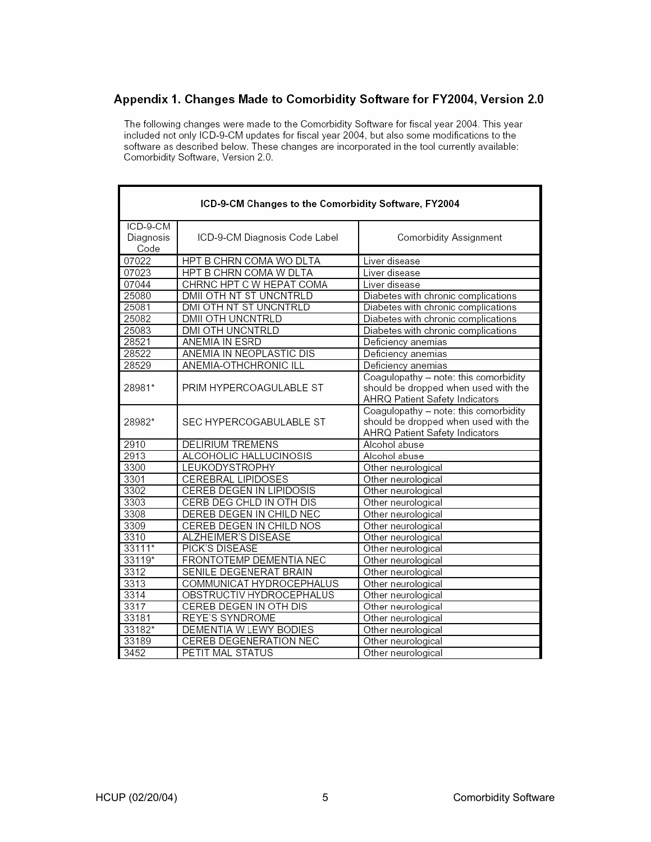#### Appendix 1. Changes Made to Comorbidity Software for FY2004, Version 2.0

The following changes were made to the Comorbidity Software for fiscal year 2004. This year included not only ICD-9-CM updates for fiscal year 2004, but also some modifications to the software as described below. These changes are incorporated in the tool currently available: Comorbidity Software, Version 2.0.

| ICD-9-CM Changes to the Comorbidity Software, FY2004 |                                 |                                                                                                                 |
|------------------------------------------------------|---------------------------------|-----------------------------------------------------------------------------------------------------------------|
| ICD-9-CM<br>Diagnosis<br>Code                        | ICD-9-CM Diagnosis Code Label   | Comorbidity Assignment                                                                                          |
| 07022                                                | HPT B CHRN COMA WO DLTA         | Liver disease                                                                                                   |
| 07023                                                | HPT B CHRN COMA W DLTA          | Liver disease                                                                                                   |
| 07044                                                | CHRNC HPT C W HEPAT COMA        | Liver disease                                                                                                   |
| 25080                                                | DMII OTH NT ST UNCNTRLD         | Diabetes with chronic complications                                                                             |
| 25081                                                | DMI OTH NT ST UNCNTRLD          | Diabetes with chronic complications                                                                             |
| 25082                                                | DMII OTH UNCNTRLD               | Diabetes with chronic complications                                                                             |
| 25083                                                | DMI OTH UNCNTRLD                | Diabetes with chronic complications                                                                             |
| 28521                                                | ANEMIA IN ESRD                  | Deficiency anemias                                                                                              |
| 28522                                                | ANEMIA IN NEOPLASTIC DIS        | Deficiency anemias                                                                                              |
| 28529                                                | ANEMIA-OTHCHRONIC ILL           | Deficiency anemias                                                                                              |
| 28981*                                               | PRIM HYPERCOAGULABLE ST         | Coagulopathy - note: this comorbidity<br>should be dropped when used with the<br>AHRQ Patient Safety Indicators |
| 28982*                                               | SEC HYPERCOGABULABLE ST         | Coagulopathy - note: this comorbidity<br>should be dropped when used with the<br>AHRQ Patient Safety Indicators |
| 2910                                                 | <b>DELIRIUM TREMENS</b>         | Alcohol abuse                                                                                                   |
| 2913                                                 | ALCOHOLIC HALLUCINOSIS          | Alcohol abuse                                                                                                   |
| 3300                                                 | LEUKODYSTROPHY                  | Other neurological                                                                                              |
| 3301                                                 | <b>CEREBRAL LIPIDOSES</b>       | Other neurological                                                                                              |
| 3302                                                 | <b>CEREB DEGEN IN LIPIDOSIS</b> | Other neurological                                                                                              |
| 3303                                                 | CERB DEG CHLD IN OTH DIS        | Other neurological                                                                                              |
| 3308                                                 | DEREB DEGEN IN CHILD NEC        | Other neurological                                                                                              |
| 3309                                                 | CEREB DEGEN IN CHILD NOS        | Other neurological                                                                                              |
| 3310                                                 | ALZHEIMER'S DISEASE             | Other neurological                                                                                              |
| 33111*                                               | PICK'S DISEASE                  | Other neurological                                                                                              |
| 33119*                                               | FRONTOTEMP DEMENTIA NEC         | Other neurological                                                                                              |
| 3312                                                 | SENILE DEGENERAT BRAIN          | Other neurological                                                                                              |
| 3313                                                 | COMMUNICAT HYDROCEPHALUS        | Other neurological                                                                                              |
| 3314                                                 | OBSTRUCTIV HYDROCEPHALUS        | Other neurological                                                                                              |
| 3317                                                 | <b>CEREB DEGEN IN OTH DIS</b>   | Other neurological                                                                                              |
| 33181                                                | <b>REYE'S SYNDROME</b>          | Other neurological                                                                                              |
| 33182*                                               | DEMENTIA W LEWY BODIES          | Other neurological                                                                                              |
| 33189                                                | <b>CEREB DEGENERATION NEC</b>   | Other neurological                                                                                              |
| 3452                                                 | PETIT MAL STATUS                | Other neurological                                                                                              |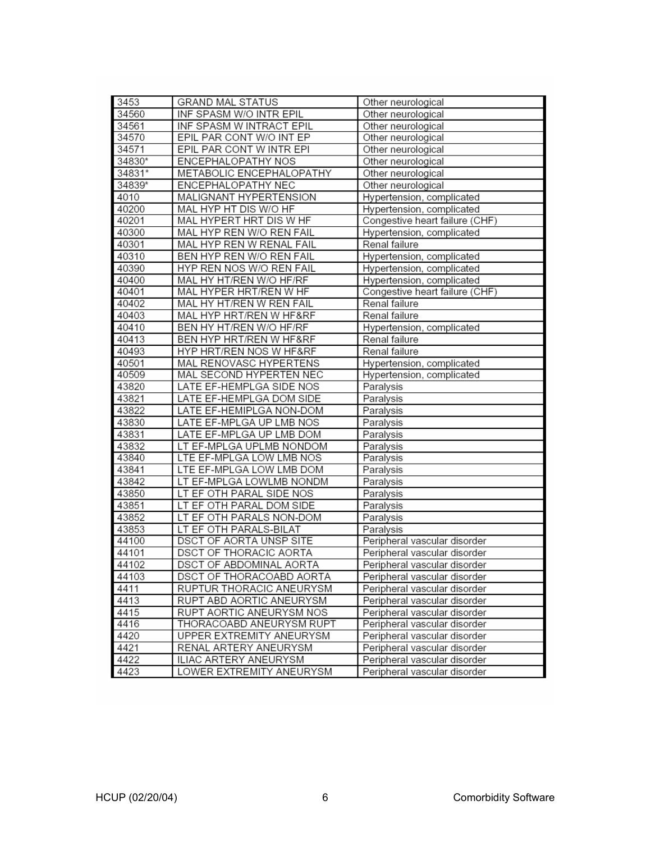| 3453   | <b>GRAND MAL STATUS</b>       | Other neurological             |
|--------|-------------------------------|--------------------------------|
| 34560  | INF SPASM W/O INTR EPIL       | Other neurological             |
| 34561  | INF SPASM W INTRACT EPIL      | Other neurological             |
| 34570  | EPIL PAR CONT W/O INT EP      | Other neurological             |
| 34571  | EPIL PAR CONT W INTR EPI      | Other neurological             |
| 34830* | <b>ENCEPHALOPATHY NOS</b>     | Other neurological             |
| 34831* | METABOLIC ENCEPHALOPATHY      | Other neurological             |
| 34839* | ENCEPHALOPATHY NEC            | Other neurological             |
| 4010   | MALIGNANT HYPERTENSION        | Hypertension, complicated      |
| 40200  | MAL HYP HT DIS W/O HF         | Hypertension, complicated      |
| 40201  | MAL HYPERT HRT DIS W HF       | Congestive heart failure (CHF) |
| 40300  | MAL HYP REN W/O REN FAIL      | Hypertension, complicated      |
| 40301  | MAL HYP REN W RENAL FAIL      | Renal failure                  |
| 40310  | BEN HYP REN W/O REN FAIL      | Hypertension, complicated      |
| 40390  | HYP REN NOS W/O REN FAIL      | Hypertension, complicated      |
| 40400  | MAL HY HT/REN W/O HF/RF       | Hypertension, complicated      |
| 40401  | MAL HYPER HRT/REN W HF        | Congestive heart failure (CHF) |
| 40402  | MAL HY HT/REN W REN FAIL      | Renal failure                  |
| 40403  | MAL HYP HRT/REN W HF&RF       | Renal failure                  |
| 40410  | BEN HY HT/REN W/O HF/RF       | Hypertension, complicated      |
| 40413  | BEN HYP HRT/REN W HF&RF       | Renal failure                  |
| 40493  | HYP HRT/REN NOS W HF&RF       | Renal failure                  |
| 40501  | MAL RENOVASC HYPERTENS        | Hypertension, complicated      |
| 40509  | MAL SECOND HYPERTEN NEC       | Hypertension, complicated      |
| 43820  | LATE EF-HEMPLGA SIDE NOS      | Paralysis                      |
| 43821  | LATE EF-HEMPLGA DOM SIDE      | Paralysis                      |
| 43822  | LATE EF-HEMIPLGA NON-DOM      | Paralysis                      |
| 43830  | LATE EF-MPLGA UP LMB NOS      | Paralysis                      |
| 43831  | LATE EF-MPLGA UP LMB DOM      | Paralysis                      |
| 43832  | LT EF-MPLGA UPLMB NONDOM      | Paralysis                      |
| 43840  | LTE EF-MPLGA LOW LMB NOS      | Paralysis                      |
| 43841  | LTE EF-MPLGA LOW LMB DOM      | Paralysis                      |
| 43842  | LT EF-MPLGA LOWLMB NONDM      | Paralysis                      |
| 43850  | LT EF OTH PARAL SIDE NOS      | Paralysis                      |
| 43851  | LT EF OTH PARAL DOM SIDE      | Paralysis                      |
| 43852  | LT EF OTH PARALS NON-DOM      | Paralysis                      |
| 43853  | LT EF OTH PARALS-BILAT        | Paralysis                      |
| 44100  | DSCT OF AORTA UNSP SITE       | Peripheral vascular disorder   |
| 44101  | <b>DSCT OF THORACIC AORTA</b> | Peripheral vascular disorder   |
| 44102  | DSCT OF ABDOMINAL AORTA       | Peripheral vascular disorder   |
| 44103  | DSCT OF THORACOABD AORTA      | Peripheral vascular disorder   |
| 4411   | RUPTUR THORACIC ANEURYSM      | Peripheral vascular disorder   |
| 4413   | RUPT ABD AORTIC ANEURYSM      | Peripheral vascular disorder   |
| 4415   | RUPT AORTIC ANEURYSM NOS      | Peripheral vascular disorder   |
| 4416   | THORACOABD ANEURYSM RUPT      | Peripheral vascular disorder   |
| 4420   | UPPER EXTREMITY ANEURYSM      | Peripheral vascular disorder   |
| 4421   | RENAL ARTERY ANEURYSM         | Peripheral vascular disorder   |
| 4422   | ILIAC ARTERY ANEURYSM         | Peripheral vascular disorder   |
| 4423   | LOWER EXTREMITY ANEURYSM      | Peripheral vascular disorder   |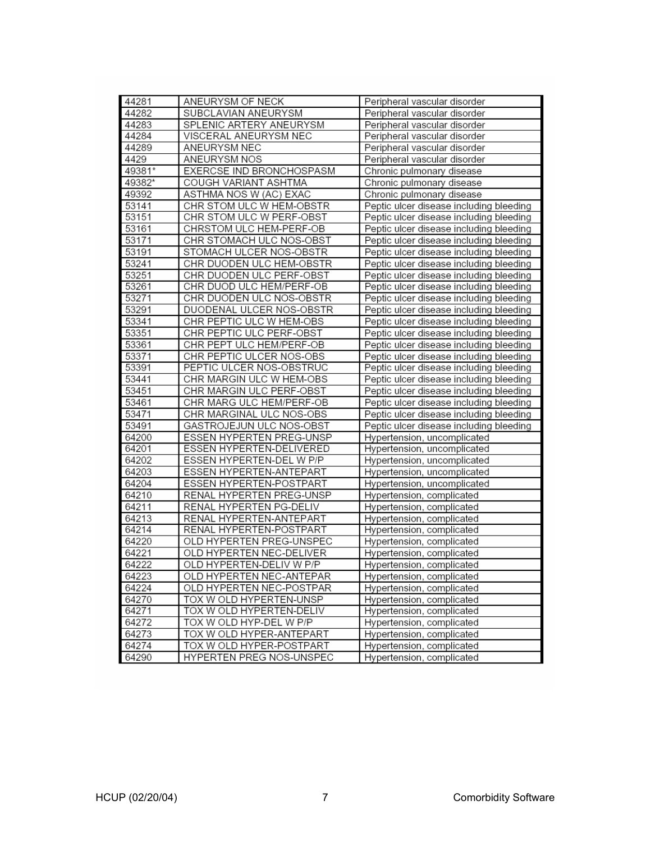| 44281  | ANEURYSM OF NECK         | Peripheral vascular disorder            |
|--------|--------------------------|-----------------------------------------|
| 44282  | SUBCLAVIAN ANEURYSM      | Peripheral vascular disorder            |
| 44283  | SPLENIC ARTERY ANEURYSM  | Peripheral vascular disorder            |
| 44284  | VISCERAL ANEURYSM NEC    | Peripheral vascular disorder            |
| 44289  | ANEURYSM NEC             | Peripheral vascular disorder            |
| 4429   | <b>ANEURYSM NOS</b>      | Peripheral vascular disorder            |
| 49381* | EXERCSE IND BRONCHOSPASM | Chronic pulmonary disease               |
| 49382* | COUGH VARIANT ASHTMA     | Chronic pulmonary disease               |
| 49392  | ASTHMA NOS W (AC) EXAC   | Chronic pulmonary disease               |
| 53141  | CHR STOM ULC W HEM-OBSTR | Peptic ulcer disease including bleeding |
| 53151  | CHR STOM ULC W PERF-OBST | Peptic ulcer disease including bleeding |
| 53161  | CHRSTOM ULC HEM-PERF-OB  | Peptic ulcer disease including bleeding |
| 53171  | CHR STOMACH ULC NOS-OBST | Peptic ulcer disease including bleeding |
| 53191  | STOMACH ULCER NOS-OBSTR  | Peptic ulcer disease including bleeding |
| 53241  | CHR DUODEN ULC HEM-OBSTR | Peptic ulcer disease including bleeding |
| 53251  | CHR DUODEN ULC PERF-OBST | Peptic ulcer disease including bleeding |
| 53261  | CHR DUOD ULC HEM/PERF-OB | Peptic ulcer disease including bleeding |
| 53271  | CHR DUODEN ULC NOS-OBSTR | Peptic ulcer disease including bleeding |
| 53291  | DUODENAL ULCER NOS-OBSTR | Peptic ulcer disease including bleeding |
| 53341  | CHR PEPTIC ULC W HEM-OBS | Peptic ulcer disease including bleeding |
| 53351  | CHR PEPTIC ULC PERF-OBST | Peptic ulcer disease including bleeding |
| 53361  | CHR PEPT ULC HEM/PERF-OB | Peptic ulcer disease including bleeding |
| 53371  | CHR PEPTIC ULCER NOS-OBS | Peptic ulcer disease including bleeding |
| 53391  | PEPTIC ULCER NOS-OBSTRUC | Peptic ulcer disease including bleeding |
| 53441  | CHR MARGIN ULC W HEM-OBS | Peptic ulcer disease including bleeding |
| 53451  | CHR MARGIN ULC PERF-OBST | Peptic ulcer disease including bleeding |
| 53461  | CHR MARG ULC HEM/PERF-OB | Peptic ulcer disease including bleeding |
| 53471  | CHR MARGINAL ULC NOS-OBS | Peptic ulcer disease including bleeding |
| 53491  | GASTROJEJUN ULC NOS-OBST | Peptic ulcer disease including bleeding |
| 64200  | ESSEN HYPERTEN PREG-UNSP | Hypertension, uncomplicated             |
| 64201  | ESSEN HYPERTEN-DELIVERED | Hypertension, uncomplicated             |
| 64202  | ESSEN HYPERTEN-DEL W P/P | Hypertension, uncomplicated             |
| 64203  | ESSEN HYPERTEN-ANTEPART  | Hypertension, uncomplicated             |
| 64204  | ESSEN HYPERTEN-POSTPART  | Hypertension, uncomplicated             |
| 64210  | RENAL HYPERTEN PREG-UNSP | Hypertension, complicated               |
| 64211  | RENAL HYPERTEN PG-DELIV  | Hypertension, complicated               |
| 64213  | RENAL HYPERTEN-ANTEPART  | Hypertension, complicated               |
| 64214  | RENAL HYPERTEN-POSTPART  | Hypertension, complicated               |
| 64220  | OLD HYPERTEN PREG-UNSPEC | Hypertension, complicated               |
| 64221  | OLD HYPERTEN NEC-DELIVER | Hypertension, complicated               |
| 64222  | OLD HYPERTEN-DELIV W P/P | Hypertension, complicated               |
| 64223  | OLD HYPERTEN NEC-ANTEPAR | Hypertension, complicated               |
| 64224  | OLD HYPERTEN NEC-POSTPAR | Hypertension, complicated               |
| 64270  | TOX W OLD HYPERTEN-UNSP  | Hypertension, complicated               |
| 64271  | TOX W OLD HYPERTEN-DELIV | Hypertension, complicated               |
| 64272  | TOX W OLD HYP-DEL W P/P  | Hypertension, complicated               |
| 64273  | TOX W OLD HYPER-ANTEPART | Hypertension, complicated               |
| 64274  | TOX W OLD HYPER-POSTPART | Hypertension, complicated               |
| 64290  | HYPERTEN PREG NOS-UNSPEC | Hypertension, complicated               |
|        |                          |                                         |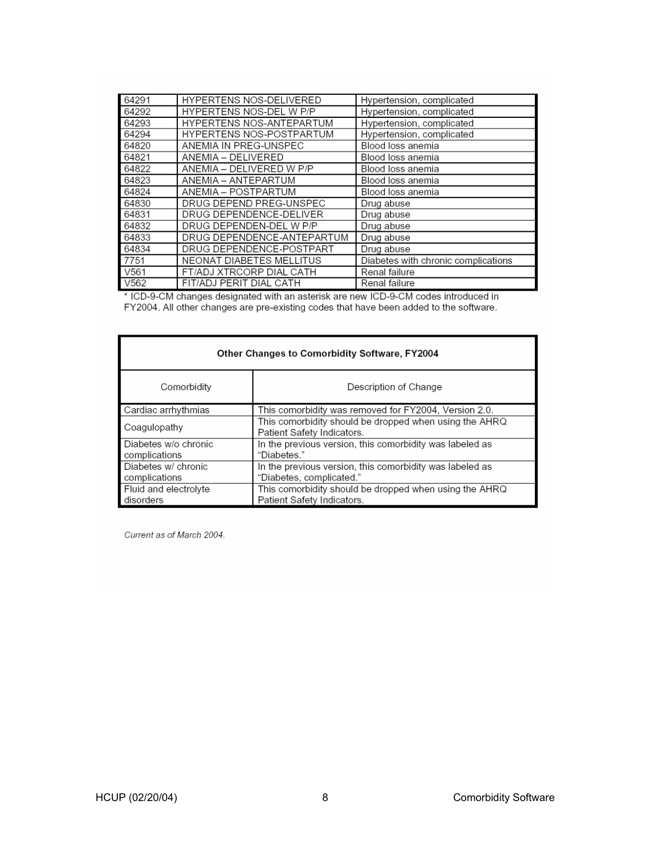| 64291            | <b>HYPERTENS NOS-DELIVERED</b> | Hypertension, complicated           |
|------------------|--------------------------------|-------------------------------------|
| 64292            | HYPERTENS NOS-DEL W P/P        | Hypertension, complicated           |
| 64293            | HYPERTENS NOS-ANTEPARTUM       | Hypertension, complicated           |
| 64294            | HYPERTENS NOS-POSTPARTUM       | Hypertension, complicated           |
| 64820            | ANEMIA IN PREG-UNSPEC          | Blood loss anemia                   |
| 64821            | ANEMIA - DELIVERED             | Blood loss anemia                   |
| 64822            | ANEMIA - DELIVERED W P/P       | Blood loss anemia                   |
| 64823            | ANEMIA - ANTEPARTUM            | Blood loss anemia                   |
| 64824            | ANEMIA – POSTPARTUM            | Blood loss anemia                   |
| 64830            | DRUG DEPEND PREG-UNSPEC        | Drug abuse                          |
| 64831            | DRUG DEPENDENCE-DELIVER        | Drug abuse                          |
| 64832            | DRUG DEPENDEN-DEL W P/P        | Drug abuse                          |
| 64833            | DRUG DEPENDENCE-ANTEPARTUM     | Drug abuse                          |
| 64834            | DRUG DEPENDENCE-POSTPART       | Drug abuse                          |
| 7751             | NEONAT DIABETES MELLITUS       | Diabetes with chronic complications |
| V <sub>561</sub> | FT/ADJ XTRCORP DIAL CATH       | Renal failure                       |
| V <sub>562</sub> | FIT/ADJ PERIT DIAL CATH        | Renal failure                       |

\* ICD-9-CM changes designated with an asterisk are new ICD-9-CM codes introduced in<br>FY2004. All other changes are pre-existing codes that have been added to the software.

| Other Changes to Comorbidity Software, FY2004 |                                                                                                 |  |
|-----------------------------------------------|-------------------------------------------------------------------------------------------------|--|
| Comorbidity                                   | Description of Change                                                                           |  |
| Cardiac arrhythmias                           | This comorbidity was removed for FY2004, Version 2.0.                                           |  |
| Coagulopathy                                  | This comorbidity should be dropped when using the $\mathsf{AHRQ}$<br>Patient Safety Indicators. |  |
| Diabetes w/o chronic<br>complications         | In the previous version, this comorbidity was labeled as<br>"Diabetes."                         |  |
| Diabetes w/ chronic<br>complications          | In the previous version, this comorbidity was labeled as<br>"Diabetes, complicated."            |  |
| Fluid and electrolyte<br>disorders            | This comorbidity should be dropped when using the AHRQ<br>Patient Safety Indicators.            |  |

Current as of March 2004.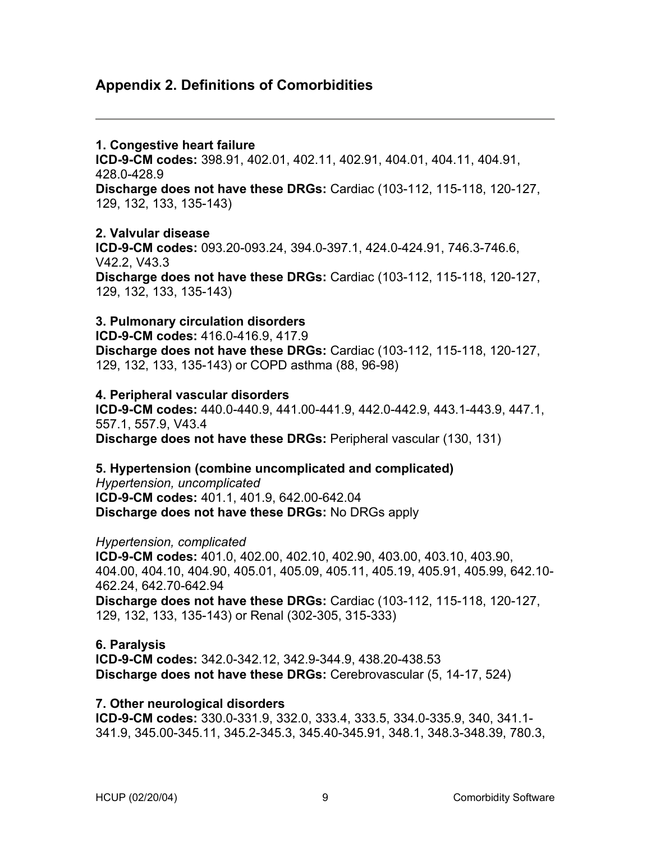### **Appendix 2. Definitions of Comorbidities**

#### **1. Congestive heart failure**

**ICD-9-CM codes:** 398.91, 402.01, 402.11, 402.91, 404.01, 404.11, 404.91, 428.0-428.9

**Discharge does not have these DRGs:** Cardiac (103-112, 115-118, 120-127, 129, 132, 133, 135-143)

#### **2. Valvular disease**

**ICD-9-CM codes:** 093.20-093.24, 394.0-397.1, 424.0-424.91, 746.3-746.6, V42.2, V43.3

**Discharge does not have these DRGs:** Cardiac (103-112, 115-118, 120-127, 129, 132, 133, 135-143)

### **3. Pulmonary circulation disorders**

**ICD-9-CM codes:** 416.0-416.9, 417.9 **Discharge does not have these DRGs:** Cardiac (103-112, 115-118, 120-127,

129, 132, 133, 135-143) or COPD asthma (88, 96-98)

### **4. Peripheral vascular disorders**

**ICD-9-CM codes:** 440.0-440.9, 441.00-441.9, 442.0-442.9, 443.1-443.9, 447.1, 557.1, 557.9, V43.4 **Discharge does not have these DRGs:** Peripheral vascular (130, 131)

### **5. Hypertension (combine uncomplicated and complicated)**

*Hypertension, uncomplicated* **ICD-9-CM codes:** 401.1, 401.9, 642.00-642.04 **Discharge does not have these DRGs:** No DRGs apply

#### *Hypertension, complicated*

**ICD-9-CM codes:** 401.0, 402.00, 402.10, 402.90, 403.00, 403.10, 403.90, 404.00, 404.10, 404.90, 405.01, 405.09, 405.11, 405.19, 405.91, 405.99, 642.10- 462.24, 642.70-642.94 **Discharge does not have these DRGs:** Cardiac (103-112, 115-118, 120-127, 129, 132, 133, 135-143) or Renal (302-305, 315-333)

### **6. Paralysis**

**ICD-9-CM codes:** 342.0-342.12, 342.9-344.9, 438.20-438.53 **Discharge does not have these DRGs:** Cerebrovascular (5, 14-17, 524)

#### **7. Other neurological disorders**

**ICD-9-CM codes:** 330.0-331.9, 332.0, 333.4, 333.5, 334.0-335.9, 340, 341.1- 341.9, 345.00-345.11, 345.2-345.3, 345.40-345.91, 348.1, 348.3-348.39, 780.3,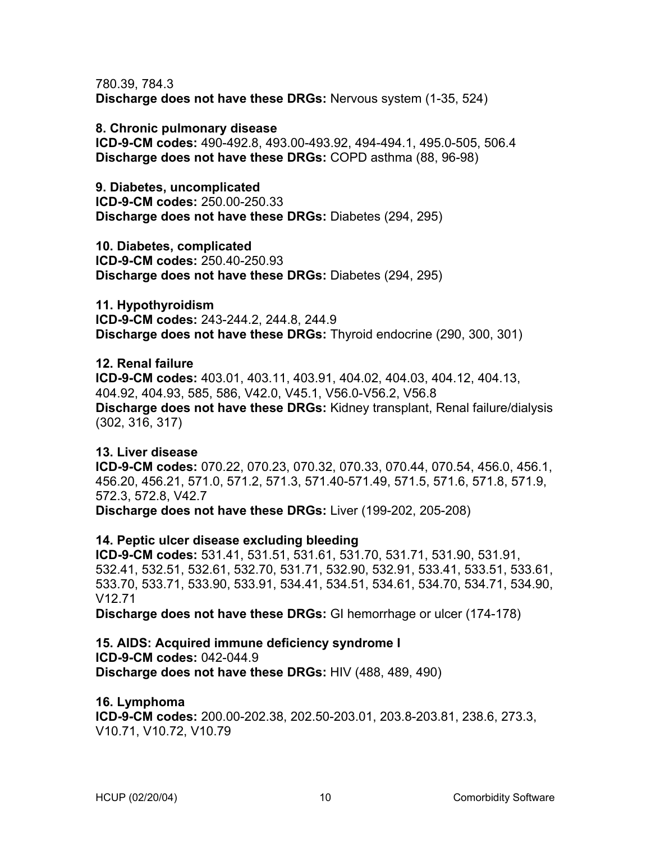780.39, 784.3 **Discharge does not have these DRGs:** Nervous system (1-35, 524)

**8. Chronic pulmonary disease ICD-9-CM codes:** 490-492.8, 493.00-493.92, 494-494.1, 495.0-505, 506.4 **Discharge does not have these DRGs:** COPD asthma (88, 96-98)

**9. Diabetes, uncomplicated ICD-9-CM codes:** 250.00-250.33 **Discharge does not have these DRGs:** Diabetes (294, 295)

**10. Diabetes, complicated ICD-9-CM codes:** 250.40-250.93 **Discharge does not have these DRGs:** Diabetes (294, 295)

**11. Hypothyroidism ICD-9-CM codes:** 243-244.2, 244.8, 244.9 **Discharge does not have these DRGs:** Thyroid endocrine (290, 300, 301)

**12. Renal failure** 

**ICD-9-CM codes:** 403.01, 403.11, 403.91, 404.02, 404.03, 404.12, 404.13, 404.92, 404.93, 585, 586, V42.0, V45.1, V56.0-V56.2, V56.8 **Discharge does not have these DRGs:** Kidney transplant, Renal failure/dialysis (302, 316, 317)

**13. Liver disease ICD-9-CM codes:** 070.22, 070.23, 070.32, 070.33, 070.44, 070.54, 456.0, 456.1, 456.20, 456.21, 571.0, 571.2, 571.3, 571.40-571.49, 571.5, 571.6, 571.8, 571.9, 572.3, 572.8, V42.7

**Discharge does not have these DRGs:** Liver (199-202, 205-208)

**14. Peptic ulcer disease excluding bleeding**

**ICD-9-CM codes:** 531.41, 531.51, 531.61, 531.70, 531.71, 531.90, 531.91, 532.41, 532.51, 532.61, 532.70, 531.71, 532.90, 532.91, 533.41, 533.51, 533.61, 533.70, 533.71, 533.90, 533.91, 534.41, 534.51, 534.61, 534.70, 534.71, 534.90, V12.71

**Discharge does not have these DRGs:** GI hemorrhage or ulcer (174-178)

**15. AIDS: Acquired immune deficiency syndrome I ICD-9-CM codes:** 042-044.9 **Discharge does not have these DRGs:** HIV (488, 489, 490)

**16. Lymphoma ICD-9-CM codes:** 200.00-202.38, 202.50-203.01, 203.8-203.81, 238.6, 273.3, V10.71, V10.72, V10.79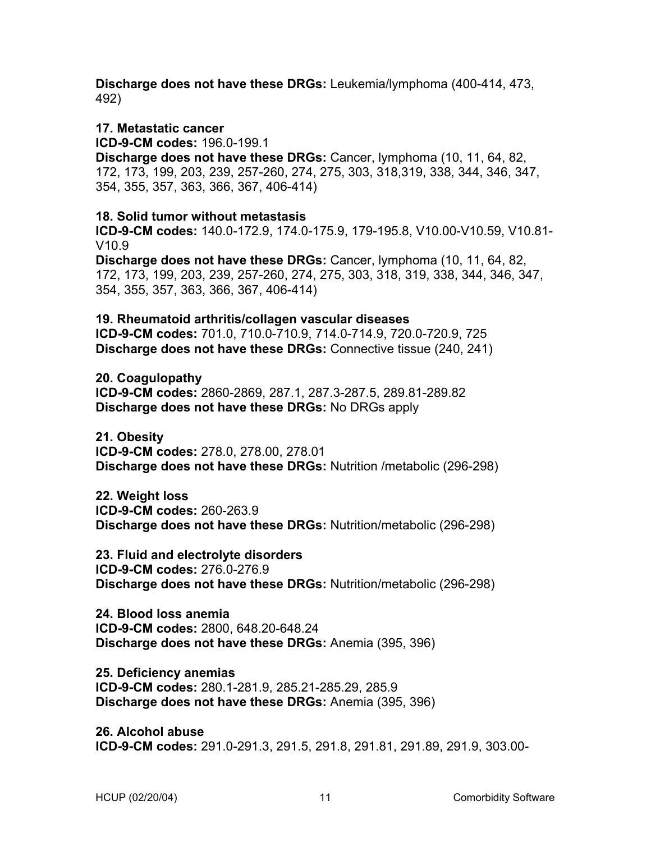**Discharge does not have these DRGs:** Leukemia/lymphoma (400-414, 473, 492)

#### **17. Metastatic cancer**

**ICD-9-CM codes:** 196.0-199.1

**Discharge does not have these DRGs:** Cancer, lymphoma (10, 11, 64, 82, 172, 173, 199, 203, 239, 257-260, 274, 275, 303, 318,319, 338, 344, 346, 347, 354, 355, 357, 363, 366, 367, 406-414)

#### **18. Solid tumor without metastasis**

**ICD-9-CM codes:** 140.0-172.9, 174.0-175.9, 179-195.8, V10.00-V10.59, V10.81- V10.9

**Discharge does not have these DRGs:** Cancer, lymphoma (10, 11, 64, 82, 172, 173, 199, 203, 239, 257-260, 274, 275, 303, 318, 319, 338, 344, 346, 347, 354, 355, 357, 363, 366, 367, 406-414)

**19. Rheumatoid arthritis/collagen vascular diseases ICD-9-CM codes:** 701.0, 710.0-710.9, 714.0-714.9, 720.0-720.9, 725 **Discharge does not have these DRGs:** Connective tissue (240, 241)

**20. Coagulopathy ICD-9-CM codes:** 2860-2869, 287.1, 287.3-287.5, 289.81-289.82 **Discharge does not have these DRGs:** No DRGs apply

**21. Obesity ICD-9-CM codes:** 278.0, 278.00, 278.01 **Discharge does not have these DRGs:** Nutrition /metabolic (296-298)

**22. Weight loss ICD-9-CM codes:** 260-263.9 **Discharge does not have these DRGs:** Nutrition/metabolic (296-298)

**23. Fluid and electrolyte disorders ICD-9-CM codes:** 276.0-276.9 **Discharge does not have these DRGs:** Nutrition/metabolic (296-298)

**24. Blood loss anemia ICD-9-CM codes:** 2800, 648.20-648.24 **Discharge does not have these DRGs:** Anemia (395, 396)

**25. Deficiency anemias ICD-9-CM codes:** 280.1-281.9, 285.21-285.29, 285.9 **Discharge does not have these DRGs:** Anemia (395, 396)

**26. Alcohol abuse ICD-9-CM codes:** 291.0-291.3, 291.5, 291.8, 291.81, 291.89, 291.9, 303.00